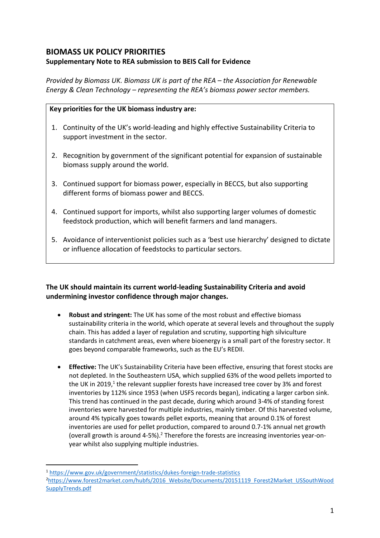# **BIOMASS UK POLICY PRIORITIES**

## **Supplementary Note to REA submission to BEIS Call for Evidence**

*Provided by Biomass UK. Biomass UK is part of the REA – the Association for Renewable Energy & Clean Technology – representing the REA's biomass power sector members.*

#### **Key priorities for the UK biomass industry are:**

- 1. Continuity of the UK's world-leading and highly effective Sustainability Criteria to support investment in the sector.
- 2. Recognition by government of the significant potential for expansion of sustainable biomass supply around the world.
- 3. Continued support for biomass power, especially in BECCS, but also supporting different forms of biomass power and BECCS.
- 4. Continued support for imports, whilst also supporting larger volumes of domestic feedstock production, which will benefit farmers and land managers.
- 5. Avoidance of interventionist policies such as a 'best use hierarchy' designed to dictate or influence allocation of feedstocks to particular sectors.

## **The UK should maintain its current world-leading Sustainability Criteria and avoid undermining investor confidence through major changes.**

- **Robust and stringent:** The UK has some of the most robust and effective biomass sustainability criteria in the world, which operate at several levels and throughout the supply chain. This has added a layer of regulation and scrutiny, supporting high silviculture standards in catchment areas, even where bioenergy is a small part of the forestry sector. It goes beyond comparable frameworks, such as the EU's REDII.
- **Effective:** The UK's Sustainability Criteria have been effective, ensuring that forest stocks are not depleted. In the Southeastern USA, which supplied 63% of the wood pellets imported to the UK in 2019,<sup>1</sup> the relevant supplier forests have increased tree cover by 3% and forest inventories by 112% since 1953 (when USFS records began), indicating a larger carbon sink. This trend has continued in the past decade, during which around 3-4% of standing forest inventories were harvested for multiple industries, mainly timber. Of this harvested volume, around 4% typically goes towards pellet exports, meaning that around 0.1% of forest inventories are used for pellet production, compared to around 0.7-1% annual net growth (overall growth is around  $4-5\%$ ).<sup>2</sup> Therefore the forests are increasing inventories year-onyear whilst also supplying multiple industries.

<sup>1</sup> <https://www.gov.uk/government/statistics/dukes-foreign-trade-statistics> <sup>2</sup>[https://www.forest2market.com/hubfs/2016\\_Website/Documents/20151119\\_Forest2Market\\_USSouthWood](https://www.forest2market.com/hubfs/2016_Website/Documents/20151119_Forest2Market_USSouthWoodSupplyTrends.pdf) [SupplyTrends.pdf](https://www.forest2market.com/hubfs/2016_Website/Documents/20151119_Forest2Market_USSouthWoodSupplyTrends.pdf)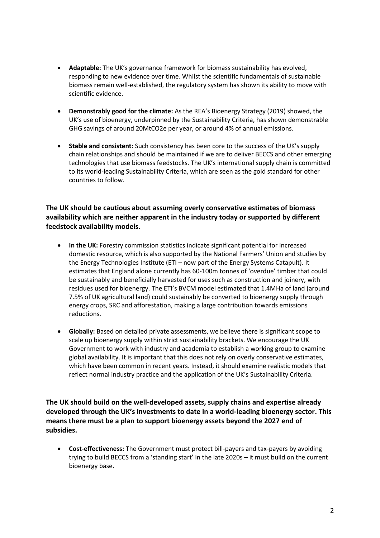- **Adaptable:** The UK's governance framework for biomass sustainability has evolved, responding to new evidence over time. Whilst the scientific fundamentals of sustainable biomass remain well-established, the regulatory system has shown its ability to move with scientific evidence.
- **Demonstrably good for the climate:** As the REA's Bioenergy Strategy (2019) showed, the UK's use of bioenergy, underpinned by the Sustainability Criteria, has shown demonstrable GHG savings of around 20MtCO2e per year, or around 4% of annual emissions.
- **Stable and consistent:** Such consistency has been core to the success of the UK's supply chain relationships and should be maintained if we are to deliver BECCS and other emerging technologies that use biomass feedstocks. The UK's international supply chain is committed to its world-leading Sustainability Criteria, which are seen as the gold standard for other countries to follow.

### **The UK should be cautious about assuming overly conservative estimates of biomass availability which are neither apparent in the industry today or supported by different feedstock availability models.**

- **In the UK:** Forestry commission statistics indicate significant potential for increased domestic resource, which is also supported by the National Farmers' Union and studies by the Energy Technologies Institute (ETI – now part of the Energy Systems Catapult). It estimates that England alone currently has 60-100m tonnes of 'overdue' timber that could be sustainably and beneficially harvested for uses such as construction and joinery, with residues used for bioenergy. The ETI's BVCM model estimated that 1.4MHa of land (around 7.5% of UK agricultural land) could sustainably be converted to bioenergy supply through energy crops, SRC and afforestation, making a large contribution towards emissions reductions.
- **Globally:** Based on detailed private assessments, we believe there is significant scope to scale up bioenergy supply within strict sustainability brackets. We encourage the UK Government to work with industry and academia to establish a working group to examine global availability. It is important that this does not rely on overly conservative estimates, which have been common in recent years. Instead, it should examine realistic models that reflect normal industry practice and the application of the UK's Sustainability Criteria.

**The UK should build on the well-developed assets, supply chains and expertise already developed through the UK's investments to date in a world-leading bioenergy sector. This means there must be a plan to support bioenergy assets beyond the 2027 end of subsidies.**

• **Cost-effectiveness:** The Government must protect bill-payers and tax-payers by avoiding trying to build BECCS from a 'standing start' in the late 2020s – it must build on the current bioenergy base.